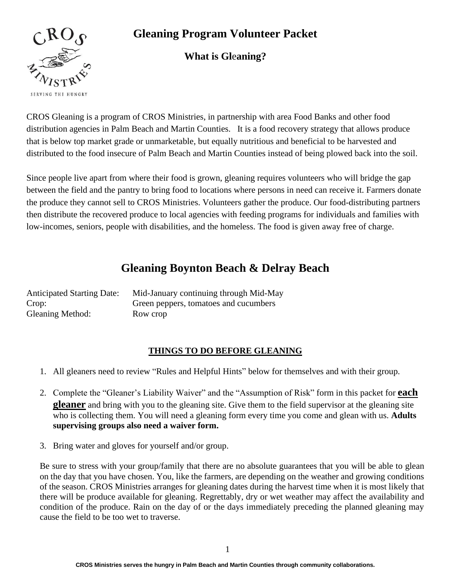

## **Gleaning Program Volunteer Packet**

## **What is Gl**e**aning?**

CROS Gleaning is a program of CROS Ministries, in partnership with area Food Banks and other food distribution agencies in Palm Beach and Martin Counties. It is a food recovery strategy that allows produce that is below top market grade or unmarketable, but equally nutritious and beneficial to be harvested and distributed to the food insecure of Palm Beach and Martin Counties instead of being plowed back into the soil.

Since people live apart from where their food is grown, gleaning requires volunteers who will bridge the gap between the field and the pantry to bring food to locations where persons in need can receive it. Farmers donate the produce they cannot sell to CROS Ministries. Volunteers gather the produce. Our food-distributing partners then distribute the recovered produce to local agencies with feeding programs for individuals and families with low-incomes, seniors, people with disabilities, and the homeless. The food is given away free of charge.

## **Gleaning Boynton Beach & Delray Beach**

| <b>Anticipated Starting Date:</b> | Mid-January continuing through Mid-May |
|-----------------------------------|----------------------------------------|
| Crop:                             | Green peppers, tomatoes and cucumbers  |
| <b>Gleaning Method:</b>           | Row crop                               |

#### **THINGS TO DO BEFORE GLEANING**

- 1. All gleaners need to review "Rules and Helpful Hints" below for themselves and with their group.
- 2. Complete the "Gleaner's Liability Waiver" and the "Assumption of Risk" form in this packet for **each gleaner** and bring with you to the gleaning site. Give them to the field supervisor at the gleaning site who is collecting them. You will need a gleaning form every time you come and glean with us. **Adults supervising groups also need a waiver form.**
- 3. Bring water and gloves for yourself and/or group.

Be sure to stress with your group/family that there are no absolute guarantees that you will be able to glean on the day that you have chosen. You, like the farmers, are depending on the weather and growing conditions of the season. CROS Ministries arranges for gleaning dates during the harvest time when it is most likely that there will be produce available for gleaning. Regrettably, dry or wet weather may affect the availability and condition of the produce. Rain on the day of or the days immediately preceding the planned gleaning may cause the field to be too wet to traverse.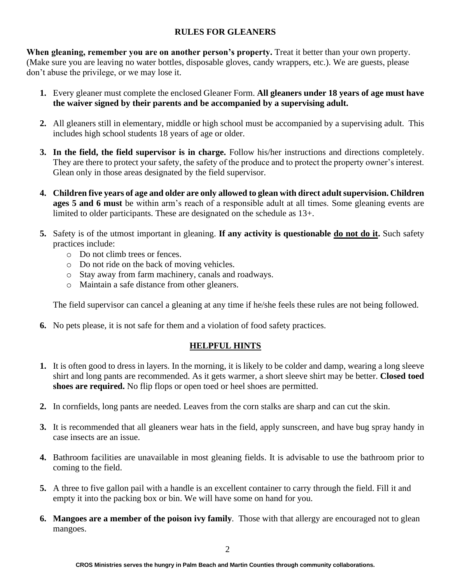#### **RULES FOR GLEANERS**

**When gleaning, remember you are on another person's property.** Treat it better than your own property. (Make sure you are leaving no water bottles, disposable gloves, candy wrappers, etc.). We are guests, please don't abuse the privilege, or we may lose it.

- **1.** Every gleaner must complete the enclosed Gleaner Form. **All gleaners under 18 years of age must have the waiver signed by their parents and be accompanied by a supervising adult.**
- **2.** All gleaners still in elementary, middle or high school must be accompanied by a supervising adult. This includes high school students 18 years of age or older.
- **3. In the field, the field supervisor is in charge.** Follow his/her instructions and directions completely. They are there to protect your safety, the safety of the produce and to protect the property owner's interest. Glean only in those areas designated by the field supervisor.
- **4. Children five years of age and older are only allowed to glean with direct adult supervision. Children ages 5 and 6 must** be within arm's reach of a responsible adult at all times. Some gleaning events are limited to older participants. These are designated on the schedule as 13+.
- **5.** Safety is of the utmost important in gleaning. **If any activity is questionable do not do it.** Such safety practices include:
	- o Do not climb trees or fences.
	- o Do not ride on the back of moving vehicles.
	- o Stay away from farm machinery, canals and roadways.
	- o Maintain a safe distance from other gleaners.

The field supervisor can cancel a gleaning at any time if he/she feels these rules are not being followed.

**6.** No pets please, it is not safe for them and a violation of food safety practices.

### **HELPFUL HINTS**

- **1.** It is often good to dress in layers. In the morning, it is likely to be colder and damp, wearing a long sleeve shirt and long pants are recommended. As it gets warmer, a short sleeve shirt may be better. **Closed toed shoes are required.** No flip flops or open toed or heel shoes are permitted.
- **2.** In cornfields, long pants are needed. Leaves from the corn stalks are sharp and can cut the skin.
- **3.** It is recommended that all gleaners wear hats in the field, apply sunscreen, and have bug spray handy in case insects are an issue.
- **4.** Bathroom facilities are unavailable in most gleaning fields. It is advisable to use the bathroom prior to coming to the field.
- **5.** A three to five gallon pail with a handle is an excellent container to carry through the field. Fill it and empty it into the packing box or bin. We will have some on hand for you.
- **6. Mangoes are a member of the poison ivy family**. Those with that allergy are encouraged not to glean mangoes.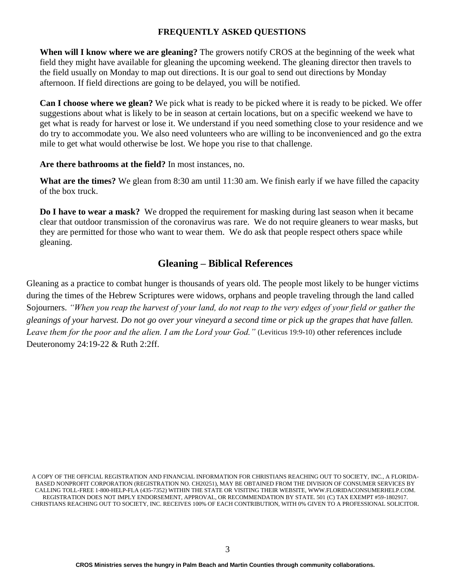#### **FREQUENTLY ASKED QUESTIONS**

**When will I know where we are gleaning?** The growers notify CROS at the beginning of the week what field they might have available for gleaning the upcoming weekend. The gleaning director then travels to the field usually on Monday to map out directions. It is our goal to send out directions by Monday afternoon. If field directions are going to be delayed, you will be notified.

**Can I choose where we glean?** We pick what is ready to be picked where it is ready to be picked. We offer suggestions about what is likely to be in season at certain locations, but on a specific weekend we have to get what is ready for harvest or lose it. We understand if you need something close to your residence and we do try to accommodate you. We also need volunteers who are willing to be inconvenienced and go the extra mile to get what would otherwise be lost. We hope you rise to that challenge.

**Are there bathrooms at the field?** In most instances, no.

**What are the times?** We glean from 8:30 am until 11:30 am. We finish early if we have filled the capacity of the box truck.

**Do I have to wear a mask?** We dropped the requirement for masking during last season when it became clear that outdoor transmission of the coronavirus was rare. We do not require gleaners to wear masks, but they are permitted for those who want to wear them. We do ask that people respect others space while gleaning.

### **Gleaning – Biblical References**

Gleaning as a practice to combat hunger is thousands of years old. The people most likely to be hunger victims during the times of the Hebrew Scriptures were widows, orphans and people traveling through the land called Sojourners. *"When you reap the harvest of your land, do not reap to the very edges of your field or gather the gleanings of your harvest. Do not go over your vineyard a second time or pick up the grapes that have fallen. Leave them for the poor and the alien. I am the Lord your God."* (Leviticus 19:9-10) other references include Deuteronomy 24:19-22 & Ruth 2:2ff.

A COPY OF THE OFFICIAL REGISTRATION AND FINANCIAL INFORMATION FOR CHRISTIANS REACHING OUT TO SOCIETY, INC., A FLORIDA-BASED NONPROFIT CORPORATION (REGISTRATION NO. CH20251), MAY BE OBTAINED FROM THE DIVISION OF CONSUMER SERVICES BY CALLING TOLL-FREE 1-800-HELP-FLA (435-7352) WITHIN THE STATE OR VISITING THEIR WEBSITE, WWW.FLORIDACONSUMERHELP.COM. REGISTRATION DOES NOT IMPLY ENDORSEMENT, APPROVAL, OR RECOMMENDATION BY STATE. 501 (C) TAX EXEMPT #59-1802917. CHRISTIANS REACHING OUT TO SOCIETY, INC. RECEIVES 100% OF EACH CONTRIBUTION, WITH 0% GIVEN TO A PROFESSIONAL SOLICITOR.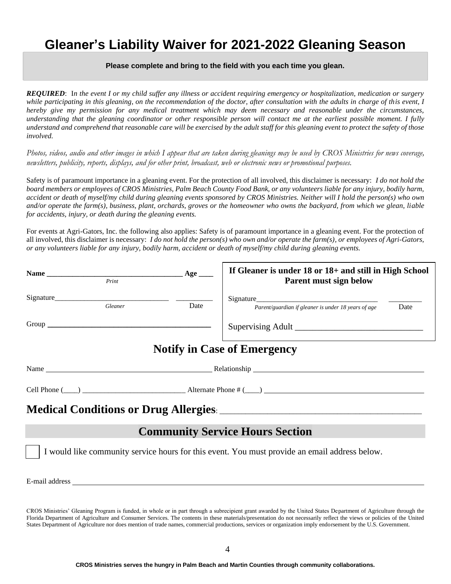# **Gleaner's Liability Waiver for 2021-2022 Gleaning Season**

#### **Please complete and bring to the field with you each time you glean.**

*REQUIRED*: I*n the event I or my child suffer any illness or accident requiring emergency or hospitalization, medication or surgery while participating in this gleaning, on the recommendation of the doctor, after consultation with the adults in charge of this event, I hereby give my permission for any medical treatment which may deem necessary and reasonable under the circumstances, understanding that the gleaning coordinator or other responsible person will contact me at the earliest possible moment. I fully understand and comprehend that reasonable care will be exercised by the adult staff for this gleaning event to protect the safety of those involved.*

*Photos, videos, audio and other images in which I appear that are taken during gleanings may be used by CROS Ministries for news coverage, newsletters, publicity, reports, displays, and for other print, broadcast, web or electronic news or promotional purposes.*

Safety is of paramount importance in a gleaning event. For the protection of all involved, this disclaimer is necessary: *I do not hold the board members or employees of CROS Ministries, Palm Beach County Food Bank, or any volunteers liable for any injury, bodily harm, accident or death of myself/my child during gleaning events sponsored by CROS Ministries. Neither will I hold the person(s) who own and/or operate the farm(s), business, plant, orchards, groves or the homeowner who owns the backyard, from which we glean, liable for accidents, injury, or death during the gleaning events.*

For events at Agri-Gators, Inc. the following also applies: Safety is of paramount importance in a gleaning event. For the protection of all involved, this disclaimer is necessary: *I do not hold the person(s) who own and/or operate the farm(s), or employees of Agri-Gators, or any volunteers liable for any injury, bodily harm, accident or death of myself/my child during gleaning events.* 

| Print                                                                                                                                                                                                                         |                                             | If Gleaner is under 18 or 18+ and still in High School<br>Parent must sign below              |      |
|-------------------------------------------------------------------------------------------------------------------------------------------------------------------------------------------------------------------------------|---------------------------------------------|-----------------------------------------------------------------------------------------------|------|
| Gleaner                                                                                                                                                                                                                       | Date                                        | Parent/guardian if gleaner is under 18 years of age                                           | Date |
|                                                                                                                                                                                                                               |                                             |                                                                                               |      |
|                                                                                                                                                                                                                               |                                             | <b>Notify in Case of Emergency</b>                                                            |      |
|                                                                                                                                                                                                                               | Name Relationship Relationship Relationship |                                                                                               |      |
|                                                                                                                                                                                                                               |                                             |                                                                                               |      |
|                                                                                                                                                                                                                               |                                             |                                                                                               |      |
|                                                                                                                                                                                                                               |                                             | <b>Community Service Hours Section</b>                                                        |      |
|                                                                                                                                                                                                                               |                                             | I would like community service hours for this event. You must provide an email address below. |      |
| E-mail address experiences and the set of the set of the set of the set of the set of the set of the set of the set of the set of the set of the set of the set of the set of the set of the set of the set of the set of the |                                             |                                                                                               |      |

CROS Ministries' Gleaning Program is funded, in whole or in part through a subrecipient grant awarded by the United States Department of Agriculture through the Florida Department of Agriculture and Consumer Services. The contents in these materials/presentation do not necessarily reflect the views or policies of the United States Department of Agriculture nor does mention of trade names, commercial productions, services or organization imply endorsement by the U.S. Government.